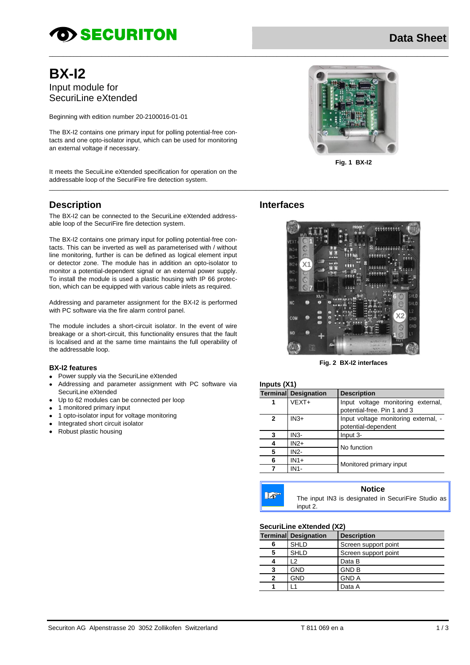# **OD SECURITON**

# **Data Sheet**

# **BX-12** Input module for SecuriLine eXtended

Beginning with edition number 20-2100016-01-01

The BX-I2 contains one primary input for polling potential-free contacts and one opto-isolator input, which can be used for monitoring an external voltage if necessary.

It meets the SecuiLine eXtended specification for operation on the addressable loop of the SecuriFire fire detection system.

## **Description**

The BX-I2 can be connected to the SecuriLine eXtended addressable loop of the SecuriFire fire detection system.

The BX-I2 contains one primary input for polling potential-free contacts. This can be inverted as well as parameterised with / without line monitoring, further is can be defined as logical element input or detector zone. The module has in addition an opto-isolator to monitor a potential-dependent signal or an external power supply. To install the module is used a plastic housing with IP 66 protection, which can be equipped with various cable inlets as required.

Addressing and parameter assignment for the BX-I2 is performed with PC software via the fire alarm control panel.

The module includes a short-circuit isolator. In the event of wire breakage or a short-circuit, this functionality ensures that the fault is localised and at the same time maintains the full operability of the addressable loop.

#### **BX-I2 features**

- Power supply via the SecuriLine eXtended
- Addressing and parameter assignment with PC software via SecuriLine eXtended
- Up to 62 modules can be connected per loop
- 1 monitored primary input
- 1 opto-isolator input for voltage monitoring
- Integrated short circuit isolator
- $\bullet$ Robust plastic housing



Fig. 1 BX-I2

## **Interfaces**



Fig. 2 BX-I2 interfaces

| Inputs $(X1)$ |                             |                                |  |  |
|---------------|-----------------------------|--------------------------------|--|--|
|               | <b>Terminal Designation</b> | <b>Description</b>             |  |  |
|               | $VEXT+$                     | Input voltag<br>potential-free |  |  |
|               |                             |                                |  |  |

 $1 - 1$ V<sub>4</sub>)

| 1 | VEXT+             | Input voltage monitoring external,<br>potential-free. Pin 1 and 3 |
|---|-------------------|-------------------------------------------------------------------|
| 2 | $IN3+$            | Input voltage monitoring external, -<br>potential-dependent       |
| 3 | IN <sub>3</sub> - | Input 3-                                                          |
| 4 | $IN2+$            | No function                                                       |
| 5 | <b>IN2-</b>       |                                                                   |
| 6 | $IN1+$            | Monitored primary input                                           |
|   | IN1-              |                                                                   |

 $\mathbb{R}^3$ 

 $\overline{a}$ 

**Notice** 

The input IN3 is designated in SecuriFire Studio as input 2.

### SecuriLine eXtended (X2)

|   | <b>Terminal Designation</b> | <b>Description</b>   |
|---|-----------------------------|----------------------|
| 6 | <b>SHLD</b>                 | Screen support point |
| 5 | <b>SHLD</b>                 | Screen support point |
|   | 2                           | Data B               |
| 3 | <b>GND</b>                  | <b>GND B</b>         |
| 2 | GND                         | <b>GND A</b>         |
|   |                             | Data A               |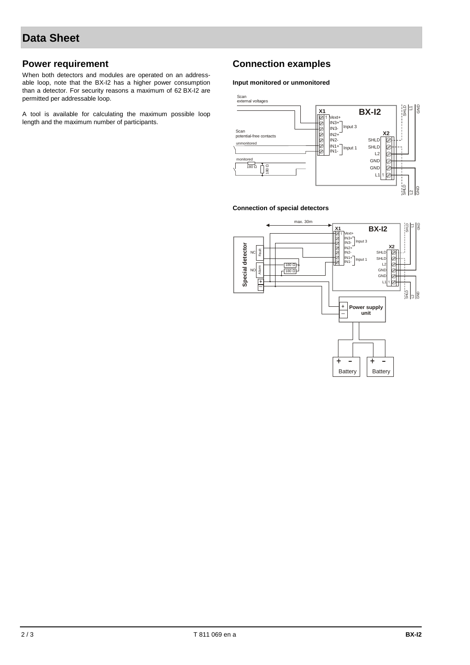## **Power requirement**

When both detectors and modules are operated on an addressable loop, note that the BX-I2 has a higher power consumption than a detector. For security reasons a maximum of 62 BX-I2 are permitted per addressable loop.

A tool is available for calculating the maximum possible loop length and the maximum number of participants.

## **Connection examples**

#### **Input monitored or unmonitored**



#### **Connection of special detectors**